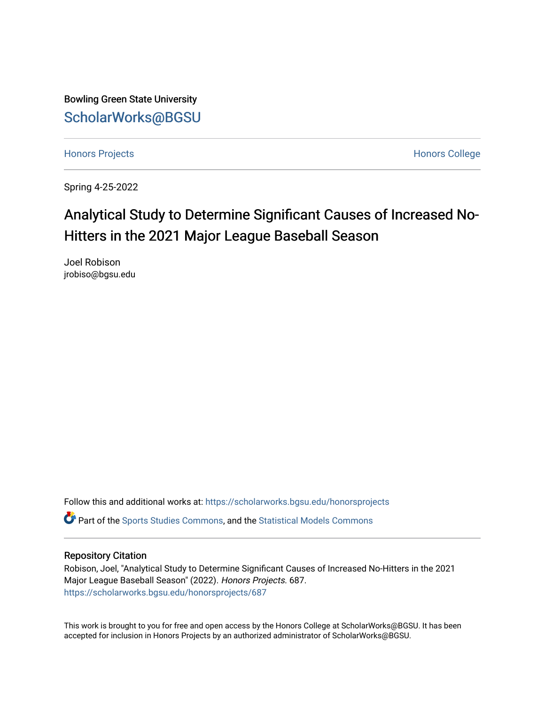Bowling Green State University [ScholarWorks@BGSU](https://scholarworks.bgsu.edu/) 

[Honors Projects](https://scholarworks.bgsu.edu/honorsprojects) **Honors** College

Spring 4-25-2022

# Analytical Study to Determine Significant Causes of Increased No-Hitters in the 2021 Major League Baseball Season

Joel Robison jrobiso@bgsu.edu

Follow this and additional works at: [https://scholarworks.bgsu.edu/honorsprojects](https://scholarworks.bgsu.edu/honorsprojects?utm_source=scholarworks.bgsu.edu%2Fhonorsprojects%2F687&utm_medium=PDF&utm_campaign=PDFCoverPages)  Part of the [Sports Studies Commons,](http://network.bepress.com/hgg/discipline/1198?utm_source=scholarworks.bgsu.edu%2Fhonorsprojects%2F687&utm_medium=PDF&utm_campaign=PDFCoverPages) and the [Statistical Models Commons](http://network.bepress.com/hgg/discipline/827?utm_source=scholarworks.bgsu.edu%2Fhonorsprojects%2F687&utm_medium=PDF&utm_campaign=PDFCoverPages)

## Repository Citation

Robison, Joel, "Analytical Study to Determine Significant Causes of Increased No-Hitters in the 2021 Major League Baseball Season" (2022). Honors Projects. 687. [https://scholarworks.bgsu.edu/honorsprojects/687](https://scholarworks.bgsu.edu/honorsprojects/687?utm_source=scholarworks.bgsu.edu%2Fhonorsprojects%2F687&utm_medium=PDF&utm_campaign=PDFCoverPages) 

This work is brought to you for free and open access by the Honors College at ScholarWorks@BGSU. It has been accepted for inclusion in Honors Projects by an authorized administrator of ScholarWorks@BGSU.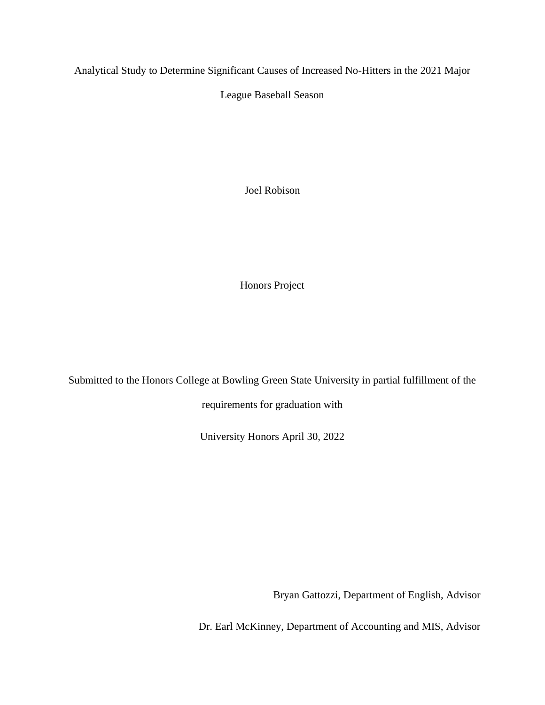Analytical Study to Determine Significant Causes of Increased No-Hitters in the 2021 Major

League Baseball Season

Joel Robison

Honors Project

Submitted to the Honors College at Bowling Green State University in partial fulfillment of the

requirements for graduation with

University Honors April 30, 2022

Bryan Gattozzi, Department of English, Advisor

Dr. Earl McKinney, Department of Accounting and MIS, Advisor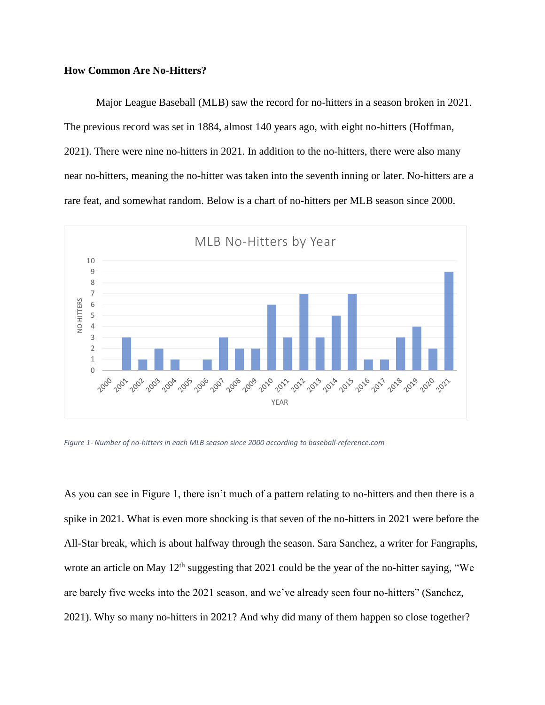# **How Common Are No-Hitters?**

Major League Baseball (MLB) saw the record for no-hitters in a season broken in 2021. The previous record was set in 1884, almost 140 years ago, with eight no-hitters (Hoffman, 2021). There were nine no-hitters in 2021. In addition to the no-hitters, there were also many near no-hitters, meaning the no-hitter was taken into the seventh inning or later. No-hitters are a rare feat, and somewhat random. Below is a chart of no-hitters per MLB season since 2000.



*Figure 1- Number of no-hitters in each MLB season since 2000 according to baseball-reference.com*

As you can see in Figure 1, there isn't much of a pattern relating to no-hitters and then there is a spike in 2021. What is even more shocking is that seven of the no-hitters in 2021 were before the All-Star break, which is about halfway through the season. Sara Sanchez, a writer for Fangraphs, wrote an article on May  $12<sup>th</sup>$  suggesting that 2021 could be the year of the no-hitter saying, "We are barely five weeks into the 2021 season, and we've already seen four no-hitters" (Sanchez, 2021). Why so many no-hitters in 2021? And why did many of them happen so close together?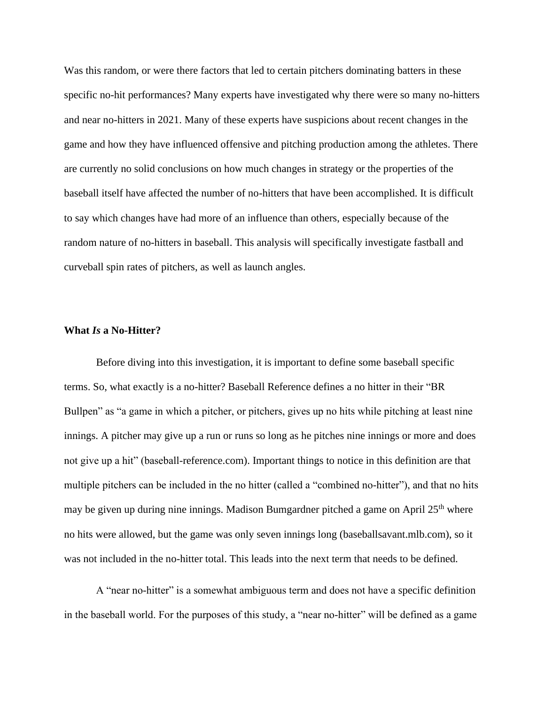Was this random, or were there factors that led to certain pitchers dominating batters in these specific no-hit performances? Many experts have investigated why there were so many no-hitters and near no-hitters in 2021. Many of these experts have suspicions about recent changes in the game and how they have influenced offensive and pitching production among the athletes. There are currently no solid conclusions on how much changes in strategy or the properties of the baseball itself have affected the number of no-hitters that have been accomplished. It is difficult to say which changes have had more of an influence than others, especially because of the random nature of no-hitters in baseball. This analysis will specifically investigate fastball and curveball spin rates of pitchers, as well as launch angles.

# **What** *Is* **a No-Hitter?**

Before diving into this investigation, it is important to define some baseball specific terms. So, what exactly is a no-hitter? Baseball Reference defines a no hitter in their "BR Bullpen" as "a game in which a pitcher, or pitchers, gives up no hits while pitching at least nine innings. A pitcher may give up a run or runs so long as he pitches nine innings or more and does not give up a hit" (baseball-reference.com). Important things to notice in this definition are that multiple pitchers can be included in the no hitter (called a "combined no-hitter"), and that no hits may be given up during nine innings. Madison Bumgardner pitched a game on April 25<sup>th</sup> where no hits were allowed, but the game was only seven innings long (baseballsavant.mlb.com), so it was not included in the no-hitter total. This leads into the next term that needs to be defined.

A "near no-hitter" is a somewhat ambiguous term and does not have a specific definition in the baseball world. For the purposes of this study, a "near no-hitter" will be defined as a game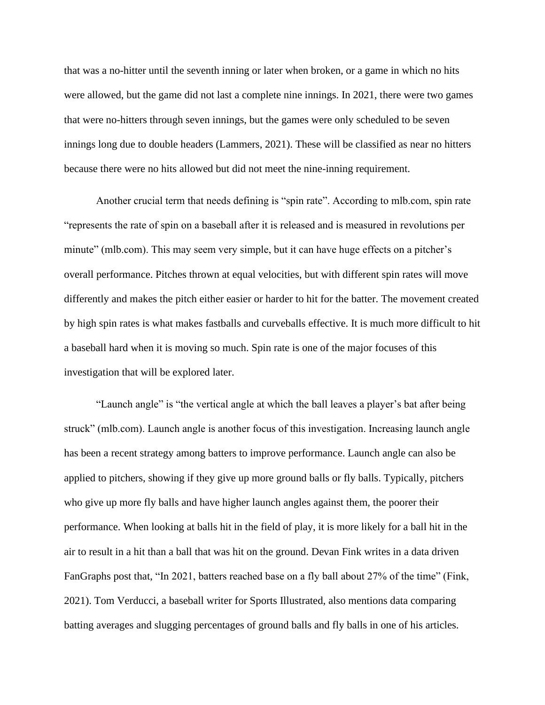that was a no-hitter until the seventh inning or later when broken, or a game in which no hits were allowed, but the game did not last a complete nine innings. In 2021, there were two games that were no-hitters through seven innings, but the games were only scheduled to be seven innings long due to double headers (Lammers, 2021). These will be classified as near no hitters because there were no hits allowed but did not meet the nine-inning requirement.

Another crucial term that needs defining is "spin rate". According to mlb.com, spin rate "represents the rate of spin on a baseball after it is released and is measured in revolutions per minute" (mlb.com). This may seem very simple, but it can have huge effects on a pitcher's overall performance. Pitches thrown at equal velocities, but with different spin rates will move differently and makes the pitch either easier or harder to hit for the batter. The movement created by high spin rates is what makes fastballs and curveballs effective. It is much more difficult to hit a baseball hard when it is moving so much. Spin rate is one of the major focuses of this investigation that will be explored later.

"Launch angle" is "the vertical angle at which the ball leaves a player's bat after being struck" (mlb.com). Launch angle is another focus of this investigation. Increasing launch angle has been a recent strategy among batters to improve performance. Launch angle can also be applied to pitchers, showing if they give up more ground balls or fly balls. Typically, pitchers who give up more fly balls and have higher launch angles against them, the poorer their performance. When looking at balls hit in the field of play, it is more likely for a ball hit in the air to result in a hit than a ball that was hit on the ground. Devan Fink writes in a data driven FanGraphs post that, "In 2021, batters reached base on a fly ball about 27% of the time" (Fink, 2021). Tom Verducci, a baseball writer for Sports Illustrated, also mentions data comparing batting averages and slugging percentages of ground balls and fly balls in one of his articles.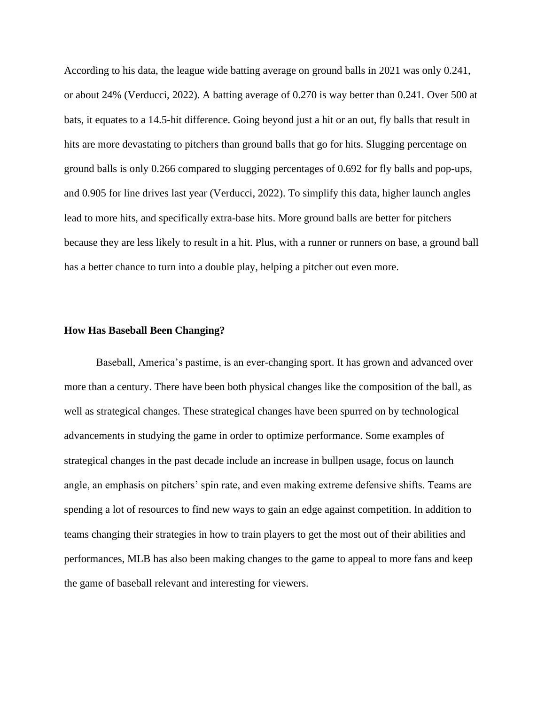According to his data, the league wide batting average on ground balls in 2021 was only 0.241, or about 24% (Verducci, 2022). A batting average of 0.270 is way better than 0.241. Over 500 at bats, it equates to a 14.5-hit difference. Going beyond just a hit or an out, fly balls that result in hits are more devastating to pitchers than ground balls that go for hits. Slugging percentage on ground balls is only 0.266 compared to slugging percentages of 0.692 for fly balls and pop-ups, and 0.905 for line drives last year (Verducci, 2022). To simplify this data, higher launch angles lead to more hits, and specifically extra-base hits. More ground balls are better for pitchers because they are less likely to result in a hit. Plus, with a runner or runners on base, a ground ball has a better chance to turn into a double play, helping a pitcher out even more.

#### **How Has Baseball Been Changing?**

Baseball, America's pastime, is an ever-changing sport. It has grown and advanced over more than a century. There have been both physical changes like the composition of the ball, as well as strategical changes. These strategical changes have been spurred on by technological advancements in studying the game in order to optimize performance. Some examples of strategical changes in the past decade include an increase in bullpen usage, focus on launch angle, an emphasis on pitchers' spin rate, and even making extreme defensive shifts. Teams are spending a lot of resources to find new ways to gain an edge against competition. In addition to teams changing their strategies in how to train players to get the most out of their abilities and performances, MLB has also been making changes to the game to appeal to more fans and keep the game of baseball relevant and interesting for viewers.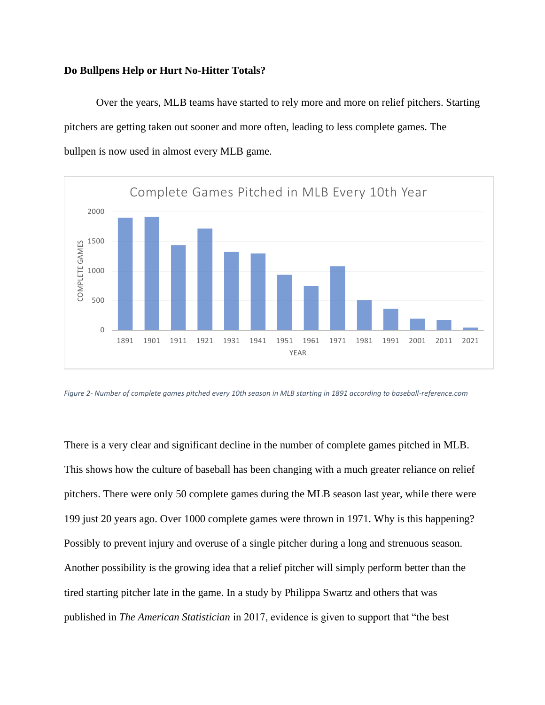#### **Do Bullpens Help or Hurt No-Hitter Totals?**

Over the years, MLB teams have started to rely more and more on relief pitchers. Starting pitchers are getting taken out sooner and more often, leading to less complete games. The bullpen is now used in almost every MLB game.



*Figure 2- Number of complete games pitched every 10th season in MLB starting in 1891 according to baseball-reference.com*

There is a very clear and significant decline in the number of complete games pitched in MLB. This shows how the culture of baseball has been changing with a much greater reliance on relief pitchers. There were only 50 complete games during the MLB season last year, while there were 199 just 20 years ago. Over 1000 complete games were thrown in 1971. Why is this happening? Possibly to prevent injury and overuse of a single pitcher during a long and strenuous season. Another possibility is the growing idea that a relief pitcher will simply perform better than the tired starting pitcher late in the game. In a study by Philippa Swartz and others that was published in *The American Statistician* in 2017, evidence is given to support that "the best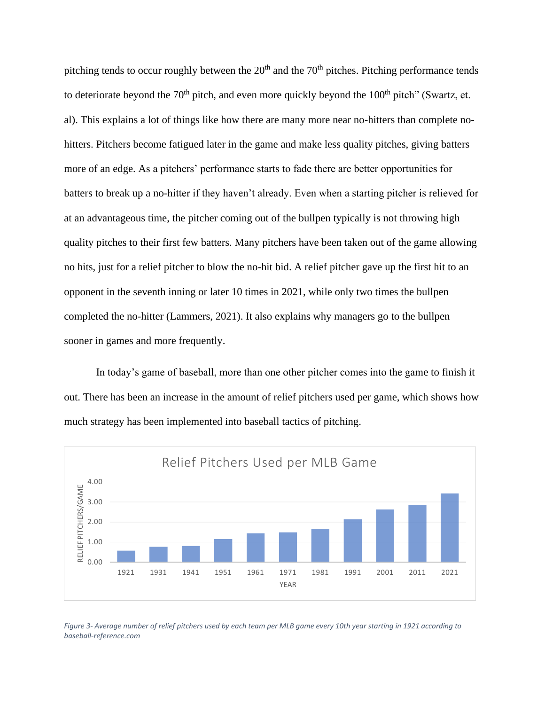pitching tends to occur roughly between the  $20<sup>th</sup>$  and the  $70<sup>th</sup>$  pitches. Pitching performance tends to deteriorate beyond the  $70<sup>th</sup>$  pitch, and even more quickly beyond the  $100<sup>th</sup>$  pitch" (Swartz, et. al). This explains a lot of things like how there are many more near no-hitters than complete nohitters. Pitchers become fatigued later in the game and make less quality pitches, giving batters more of an edge. As a pitchers' performance starts to fade there are better opportunities for batters to break up a no-hitter if they haven't already. Even when a starting pitcher is relieved for at an advantageous time, the pitcher coming out of the bullpen typically is not throwing high quality pitches to their first few batters. Many pitchers have been taken out of the game allowing no hits, just for a relief pitcher to blow the no-hit bid. A relief pitcher gave up the first hit to an opponent in the seventh inning or later 10 times in 2021, while only two times the bullpen completed the no-hitter (Lammers, 2021). It also explains why managers go to the bullpen sooner in games and more frequently.

In today's game of baseball, more than one other pitcher comes into the game to finish it out. There has been an increase in the amount of relief pitchers used per game, which shows how much strategy has been implemented into baseball tactics of pitching.



*Figure 3- Average number of relief pitchers used by each team per MLB game every 10th year starting in 1921 according to baseball-reference.com*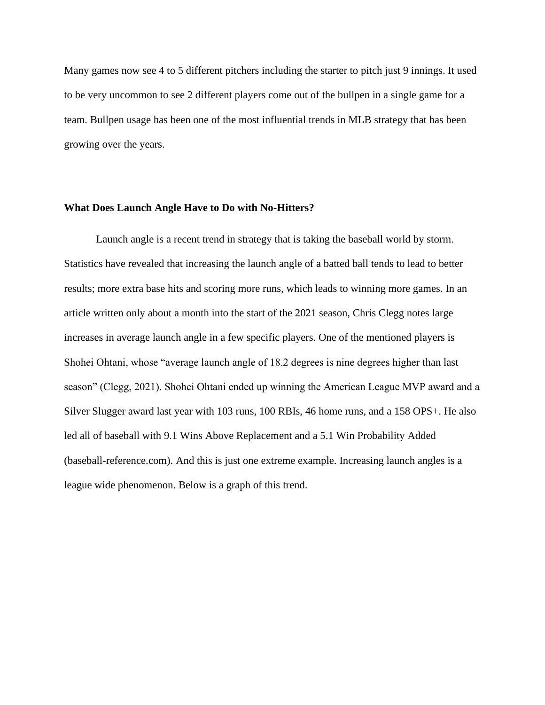Many games now see 4 to 5 different pitchers including the starter to pitch just 9 innings. It used to be very uncommon to see 2 different players come out of the bullpen in a single game for a team. Bullpen usage has been one of the most influential trends in MLB strategy that has been growing over the years.

#### **What Does Launch Angle Have to Do with No-Hitters?**

Launch angle is a recent trend in strategy that is taking the baseball world by storm. Statistics have revealed that increasing the launch angle of a batted ball tends to lead to better results; more extra base hits and scoring more runs, which leads to winning more games. In an article written only about a month into the start of the 2021 season, Chris Clegg notes large increases in average launch angle in a few specific players. One of the mentioned players is Shohei Ohtani, whose "average launch angle of 18.2 degrees is nine degrees higher than last season" (Clegg, 2021). Shohei Ohtani ended up winning the American League MVP award and a Silver Slugger award last year with 103 runs, 100 RBIs, 46 home runs, and a 158 OPS+. He also led all of baseball with 9.1 Wins Above Replacement and a 5.1 Win Probability Added (baseball-reference.com). And this is just one extreme example. Increasing launch angles is a league wide phenomenon. Below is a graph of this trend.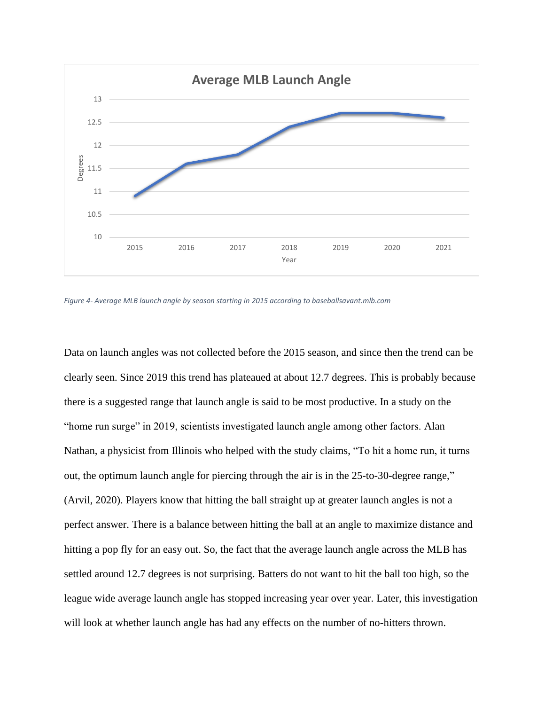

*Figure 4- Average MLB launch angle by season starting in 2015 according to baseballsavant.mlb.com*

Data on launch angles was not collected before the 2015 season, and since then the trend can be clearly seen. Since 2019 this trend has plateaued at about 12.7 degrees. This is probably because there is a suggested range that launch angle is said to be most productive. In a study on the "home run surge" in 2019, scientists investigated launch angle among other factors. Alan Nathan, a physicist from Illinois who helped with the study claims, "To hit a home run, it turns out, the optimum launch angle for piercing through the air is in the 25-to-30-degree range," (Arvil, 2020). Players know that hitting the ball straight up at greater launch angles is not a perfect answer. There is a balance between hitting the ball at an angle to maximize distance and hitting a pop fly for an easy out. So, the fact that the average launch angle across the MLB has settled around 12.7 degrees is not surprising. Batters do not want to hit the ball too high, so the league wide average launch angle has stopped increasing year over year. Later, this investigation will look at whether launch angle has had any effects on the number of no-hitters thrown.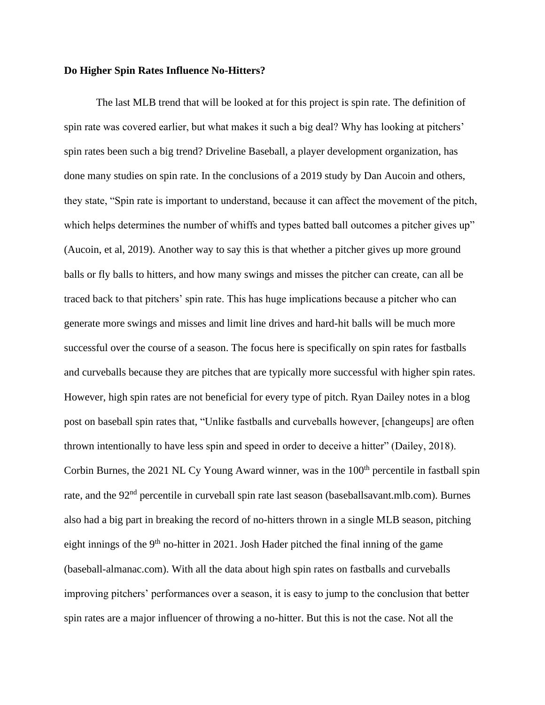#### **Do Higher Spin Rates Influence No-Hitters?**

The last MLB trend that will be looked at for this project is spin rate. The definition of spin rate was covered earlier, but what makes it such a big deal? Why has looking at pitchers' spin rates been such a big trend? Driveline Baseball, a player development organization, has done many studies on spin rate. In the conclusions of a 2019 study by Dan Aucoin and others, they state, "Spin rate is important to understand, because it can affect the movement of the pitch, which helps determines the number of whiffs and types batted ball outcomes a pitcher gives up" (Aucoin, et al, 2019). Another way to say this is that whether a pitcher gives up more ground balls or fly balls to hitters, and how many swings and misses the pitcher can create, can all be traced back to that pitchers' spin rate. This has huge implications because a pitcher who can generate more swings and misses and limit line drives and hard-hit balls will be much more successful over the course of a season. The focus here is specifically on spin rates for fastballs and curveballs because they are pitches that are typically more successful with higher spin rates. However, high spin rates are not beneficial for every type of pitch. Ryan Dailey notes in a blog post on baseball spin rates that, "Unlike fastballs and curveballs however, [changeups] are often thrown intentionally to have less spin and speed in order to deceive a hitter" (Dailey, 2018). Corbin Burnes, the 2021 NL Cy Young Award winner, was in the 100<sup>th</sup> percentile in fastball spin rate, and the 92<sup>nd</sup> percentile in curveball spin rate last season (baseballsavant.mlb.com). Burnes also had a big part in breaking the record of no-hitters thrown in a single MLB season, pitching eight innings of the  $9<sup>th</sup>$  no-hitter in 2021. Josh Hader pitched the final inning of the game (baseball-almanac.com). With all the data about high spin rates on fastballs and curveballs improving pitchers' performances over a season, it is easy to jump to the conclusion that better spin rates are a major influencer of throwing a no-hitter. But this is not the case. Not all the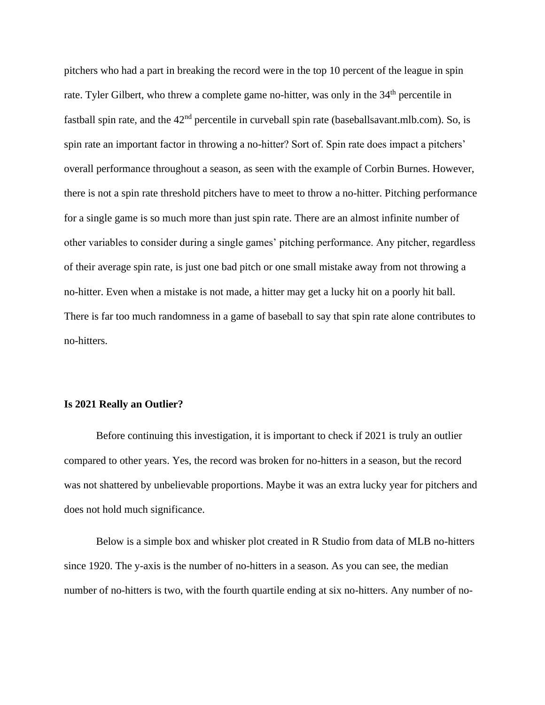pitchers who had a part in breaking the record were in the top 10 percent of the league in spin rate. Tyler Gilbert, who threw a complete game no-hitter, was only in the 34<sup>th</sup> percentile in fastball spin rate, and the  $42<sup>nd</sup>$  percentile in curveball spin rate (baseballsavant.mlb.com). So, is spin rate an important factor in throwing a no-hitter? Sort of. Spin rate does impact a pitchers' overall performance throughout a season, as seen with the example of Corbin Burnes. However, there is not a spin rate threshold pitchers have to meet to throw a no-hitter. Pitching performance for a single game is so much more than just spin rate. There are an almost infinite number of other variables to consider during a single games' pitching performance. Any pitcher, regardless of their average spin rate, is just one bad pitch or one small mistake away from not throwing a no-hitter. Even when a mistake is not made, a hitter may get a lucky hit on a poorly hit ball. There is far too much randomness in a game of baseball to say that spin rate alone contributes to no-hitters.

#### **Is 2021 Really an Outlier?**

Before continuing this investigation, it is important to check if 2021 is truly an outlier compared to other years. Yes, the record was broken for no-hitters in a season, but the record was not shattered by unbelievable proportions. Maybe it was an extra lucky year for pitchers and does not hold much significance.

Below is a simple box and whisker plot created in R Studio from data of MLB no-hitters since 1920. The y-axis is the number of no-hitters in a season. As you can see, the median number of no-hitters is two, with the fourth quartile ending at six no-hitters. Any number of no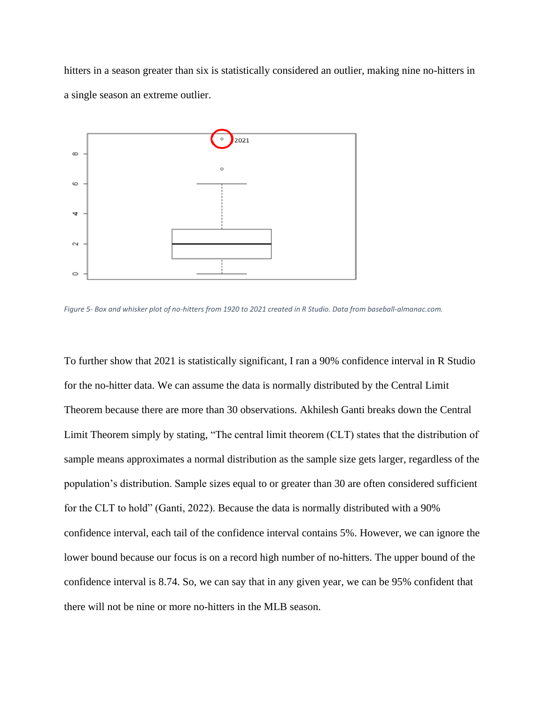hitters in a season greater than six is statistically considered an outlier, making nine no-hitters in a single season an extreme outlier.



*Figure 5- Box and whisker plot of no-hitters from 1920 to 2021 created in R Studio. Data from baseball-almanac.com.*

To further show that 2021 is statistically significant, I ran a 90% confidence interval in R Studio for the no-hitter data. We can assume the data is normally distributed by the Central Limit Theorem because there are more than 30 observations. Akhilesh Ganti breaks down the Central Limit Theorem simply by stating, "The central limit theorem (CLT) states that the distribution of sample means approximates a normal distribution as the sample size gets larger, regardless of the population's distribution. Sample sizes equal to or greater than 30 are often considered sufficient for the CLT to hold" (Ganti, 2022). Because the data is normally distributed with a 90% confidence interval, each tail of the confidence interval contains 5%. However, we can ignore the lower bound because our focus is on a record high number of no-hitters. The upper bound of the confidence interval is 8.74. So, we can say that in any given year, we can be 95% confident that there will not be nine or more no-hitters in the MLB season.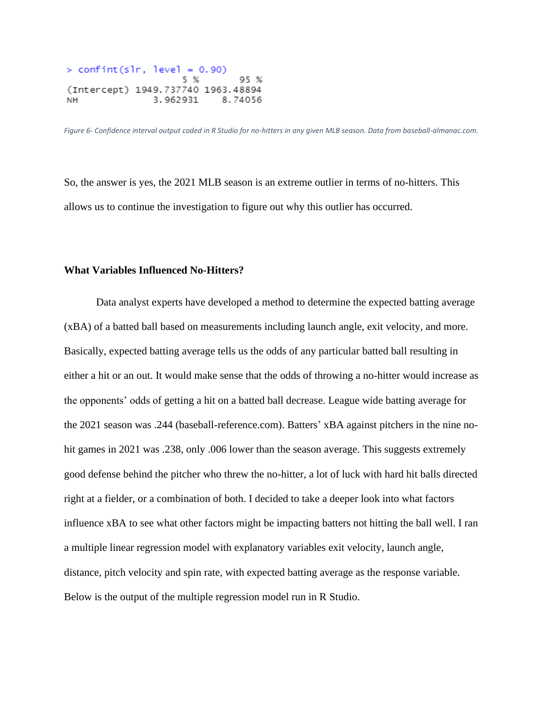```
> confint(slr, level = 0.90)
                   5 %
                             95 %
(Intercept) 1949.737740 1963.48894
NH
              3.962931 8.74056
```
*Figure 6- Confidence interval output coded in R Studio for no-hitters in any given MLB season. Data from baseball-almanac.com.*

So, the answer is yes, the 2021 MLB season is an extreme outlier in terms of no-hitters. This allows us to continue the investigation to figure out why this outlier has occurred.

## **What Variables Influenced No-Hitters?**

Data analyst experts have developed a method to determine the expected batting average (xBA) of a batted ball based on measurements including launch angle, exit velocity, and more. Basically, expected batting average tells us the odds of any particular batted ball resulting in either a hit or an out. It would make sense that the odds of throwing a no-hitter would increase as the opponents' odds of getting a hit on a batted ball decrease. League wide batting average for the 2021 season was .244 (baseball-reference.com). Batters' xBA against pitchers in the nine nohit games in 2021 was .238, only .006 lower than the season average. This suggests extremely good defense behind the pitcher who threw the no-hitter, a lot of luck with hard hit balls directed right at a fielder, or a combination of both. I decided to take a deeper look into what factors influence xBA to see what other factors might be impacting batters not hitting the ball well. I ran a multiple linear regression model with explanatory variables exit velocity, launch angle, distance, pitch velocity and spin rate, with expected batting average as the response variable. Below is the output of the multiple regression model run in R Studio.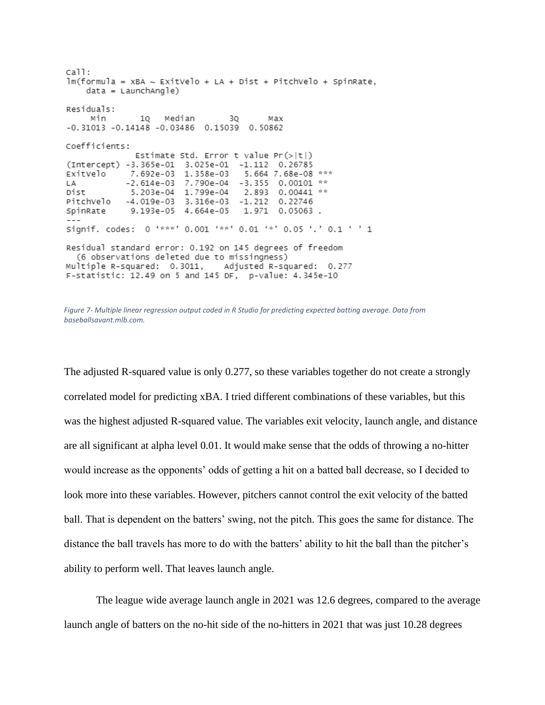```
call:
lm(formula = xBA ~ ExitVelo + LA + Dist + PitchVelo + SpinRate,
    data = LannchAngle)Residuals:
                                3Q
    Min
               10 Median
                                          Max
-0.31013 - 0.14148 - 0.03486 0.15039 0.50862
Coefficients:
              Estimate Std. Error t value Pr(>|t|)(Intercept) -3.365e-01 3.025e-01 -1.112 0.26785
ExitVelo 7.692e-03 1.358e-03<br>LA -2.614e-03 7.790e-04
                                    5.664 7.68e-08 ***
                        7.790e-04 -3.355 0.00101 **
           5.203e-04 1.799e-04 2.893<br>-4.019e-03 3.316e-03 -1.212
                                   2.893 0.00441 **
Dist
PitchVelo
                                            0.22746
           9.193e-05 4.664e-05
                                   1.971 0.05063.
SpinRate
Signif. codes: 0 '***' 0.001 '**' 0.01 '*' 0.05 '.' 0.1 ' ' 1
Residual standard error: 0.192 on 145 degrees of freedom
  (6 observations deleted due to missingness)
Multiple R-squared: 0.3011, Adjusted R-squared: 0.277
F-statistic: 12.49 on 5 and 145 DF, p-value: 4.345e-10
```
The adjusted R-squared value is only 0.277, so these variables together do not create a strongly correlated model for predicting xBA. I tried different combinations of these variables, but this was the highest adjusted R-squared value. The variables exit velocity, launch angle, and distance are all significant at alpha level 0.01. It would make sense that the odds of throwing a no-hitter would increase as the opponents' odds of getting a hit on a batted ball decrease, so I decided to look more into these variables. However, pitchers cannot control the exit velocity of the batted ball. That is dependent on the batters' swing, not the pitch. This goes the same for distance. The distance the ball travels has more to do with the batters' ability to hit the ball than the pitcher's ability to perform well. That leaves launch angle.

The league wide average launch angle in 2021 was 12.6 degrees, compared to the average launch angle of batters on the no-hit side of the no-hitters in 2021 that was just 10.28 degrees

*Figure 7- Multiple linear regression output coded in R Studio for predicting expected batting average. Data from baseballsavant.mlb.com.*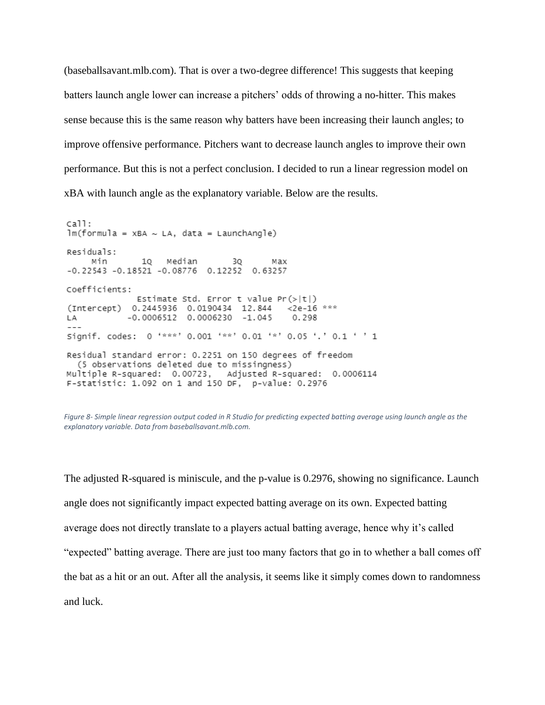(baseballsavant.mlb.com). That is over a two-degree difference! This suggests that keeping batters launch angle lower can increase a pitchers' odds of throwing a no-hitter. This makes sense because this is the same reason why batters have been increasing their launch angles; to improve offensive performance. Pitchers want to decrease launch angles to improve their own performance. But this is not a perfect conclusion. I decided to run a linear regression model on xBA with launch angle as the explanatory variable. Below are the results.

 $cal1$ :  $lm(formula = XBA ~ LA, data = LaunchAngle)$ Residuals: 10 Median Min 3Q мах  $-0.22543 -0.18521 -0.08776$  0.12252 0.63257 Coefficients: Estimate Std. Error t value  $Pr(>|t|)$ (Intercept) 0.2445936 0.0190434 12.844 <2e-16 \*\*\*  $-0.0006512$  0.0006230  $-1.045$ LA **Alan** 0.298  $- - -$ Signif. codes: 0 '\*\*\*' 0.001 '\*\*' 0.01 '\*' 0.05 '.' 0.1 ' ' 1 Residual standard error: 0.2251 on 150 degrees of freedom (5 observations deleted due to missingness) Multiple R-squared: 0.00723, Adjusted R-squared: 0.0006114 F-statistic: 1.092 on 1 and 150 DF, p-value: 0.2976

*Figure 8- Simple linear regression output coded in R Studio for predicting expected batting average using launch angle as the explanatory variable. Data from baseballsavant.mlb.com.*

The adjusted R-squared is miniscule, and the p-value is 0.2976, showing no significance. Launch angle does not significantly impact expected batting average on its own. Expected batting average does not directly translate to a players actual batting average, hence why it's called "expected" batting average. There are just too many factors that go in to whether a ball comes off the bat as a hit or an out. After all the analysis, it seems like it simply comes down to randomness and luck.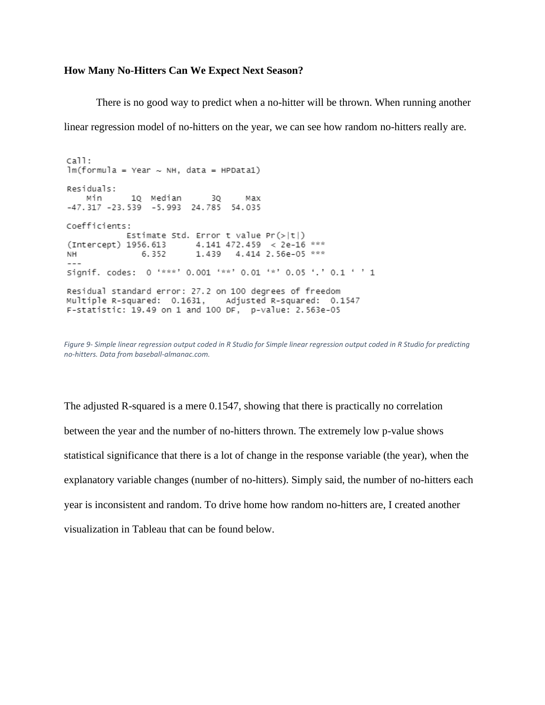#### **How Many No-Hitters Can We Expect Next Season?**

There is no good way to predict when a no-hitter will be thrown. When running another linear regression model of no-hitters on the year, we can see how random no-hitters really are.

 $cail:$  $lm(formula = Year ~ NH, data = HPDatal)$ Residuals: Min 1Q Median 3Q Max<br>-47.317 -23.539 -5.993 24.785 54.035 Coefficients: Estimate Std. Error t value  $Pr(>|t|)$ (Intercept) 1956.613 4.141 472.459 < 2e-16 \*\*\*  $NH$   $\sim$ 6.352 1.439 4.414 2.56e-05 \*\*\* Signif. codes: 0 '\*\*\*' 0.001 '\*\*' 0.01 '\*' 0.05 '.' 0.1 ' ' 1 Residual standard error: 27.2 on 100 degrees of freedom Multiple R-squared: 0.1631, Adjusted R-squared: 0.1547 F-statistic: 19.49 on 1 and 100 DF, p-value: 2.563e-05

*Figure 9- Simple linear regression output coded in R Studio for Simple linear regression output coded in R Studio for predicting no-hitters. Data from baseball-almanac.com.*

The adjusted R-squared is a mere 0.1547, showing that there is practically no correlation between the year and the number of no-hitters thrown. The extremely low p-value shows statistical significance that there is a lot of change in the response variable (the year), when the explanatory variable changes (number of no-hitters). Simply said, the number of no-hitters each year is inconsistent and random. To drive home how random no-hitters are, I created another visualization in Tableau that can be found below.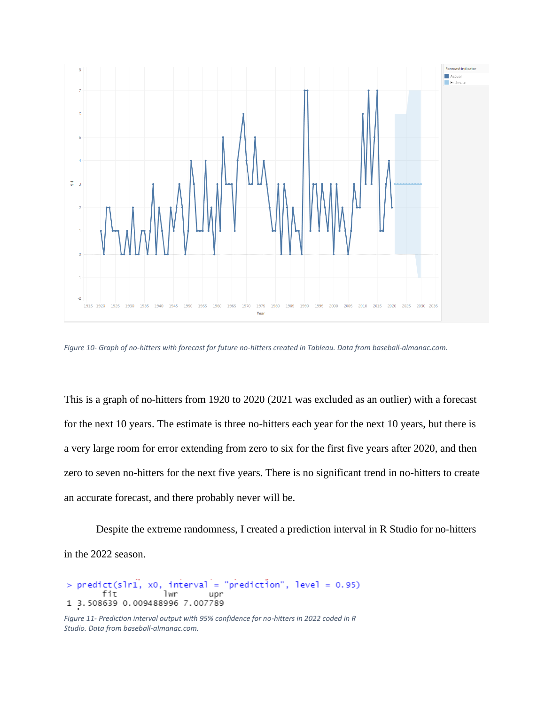

*Figure 10- Graph of no-hitters with forecast for future no-hitters created in Tableau. Data from baseball-almanac.com.*

This is a graph of no-hitters from 1920 to 2020 (2021 was excluded as an outlier) with a forecast for the next 10 years. The estimate is three no-hitters each year for the next 10 years, but there is a very large room for error extending from zero to six for the first five years after 2020, and then zero to seven no-hitters for the next five years. There is no significant trend in no-hitters to create an accurate forecast, and there probably never will be.

Despite the extreme randomness, I created a prediction interval in R Studio for no-hitters in the 2022 season.

```
x0, interval = "prediction", level = 0.95)
  predict(slr1,
       fit
                   1wr
                             upr
1 3.508639 0.009488996 7.007789
```

```
Figure 11- Prediction interval output with 95% confidence for no-hitters in 2022 coded in R 
Studio. Data from baseball-almanac.com.
```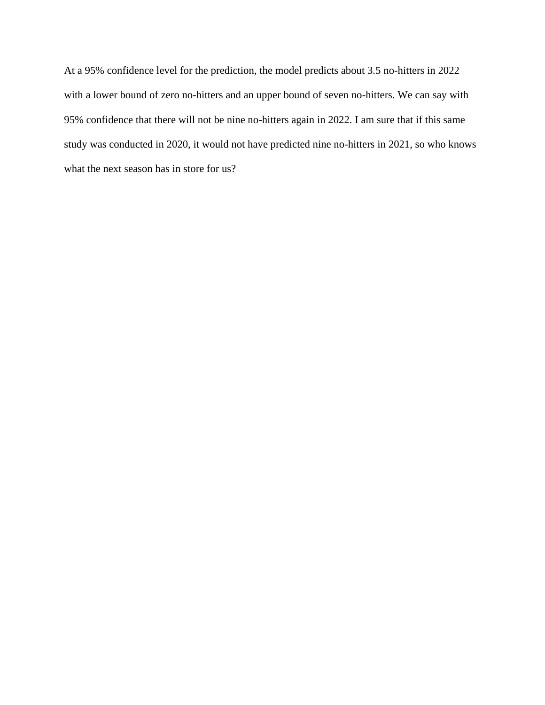At a 95% confidence level for the prediction, the model predicts about 3.5 no-hitters in 2022 with a lower bound of zero no-hitters and an upper bound of seven no-hitters. We can say with 95% confidence that there will not be nine no-hitters again in 2022. I am sure that if this same study was conducted in 2020, it would not have predicted nine no-hitters in 2021, so who knows what the next season has in store for us?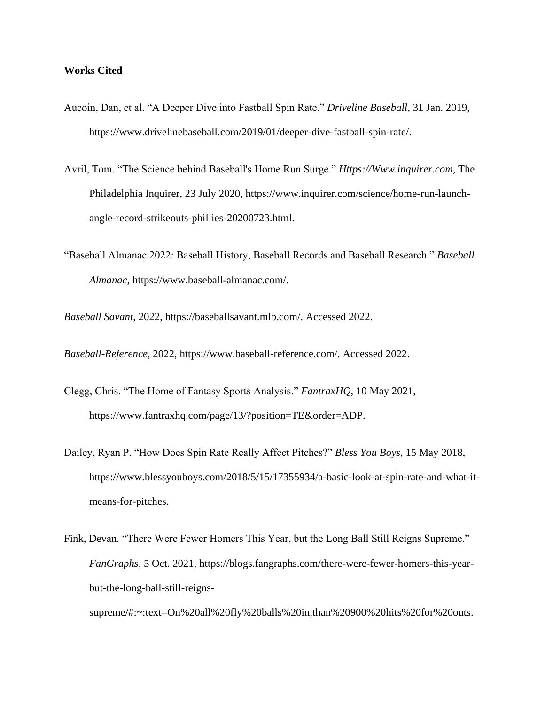## **Works Cited**

- Aucoin, Dan, et al. "A Deeper Dive into Fastball Spin Rate." *Driveline Baseball*, 31 Jan. 2019, https://www.drivelinebaseball.com/2019/01/deeper-dive-fastball-spin-rate/.
- Avril, Tom. "The Science behind Baseball's Home Run Surge." *Https://Www.inquirer.com*, The Philadelphia Inquirer, 23 July 2020, https://www.inquirer.com/science/home-run-launchangle-record-strikeouts-phillies-20200723.html.
- "Baseball Almanac 2022: Baseball History, Baseball Records and Baseball Research." *Baseball Almanac*, https://www.baseball-almanac.com/.

*Baseball Savant*, 2022, https://baseballsavant.mlb.com/. Accessed 2022.

*Baseball-Reference*, 2022, https://www.baseball-reference.com/. Accessed 2022.

- Clegg, Chris. "The Home of Fantasy Sports Analysis." *FantraxHQ*, 10 May 2021, https://www.fantraxhq.com/page/13/?position=TE&order=ADP.
- Dailey, Ryan P. "How Does Spin Rate Really Affect Pitches?" *Bless You Boys*, 15 May 2018, https://www.blessyouboys.com/2018/5/15/17355934/a-basic-look-at-spin-rate-and-what-itmeans-for-pitches.
- Fink, Devan. "There Were Fewer Homers This Year, but the Long Ball Still Reigns Supreme." *FanGraphs*, 5 Oct. 2021, https://blogs.fangraphs.com/there-were-fewer-homers-this-yearbut-the-long-ball-still-reignssupreme/#:~:text=On%20all%20fly%20balls%20in,than%20900%20hits%20for%20outs.